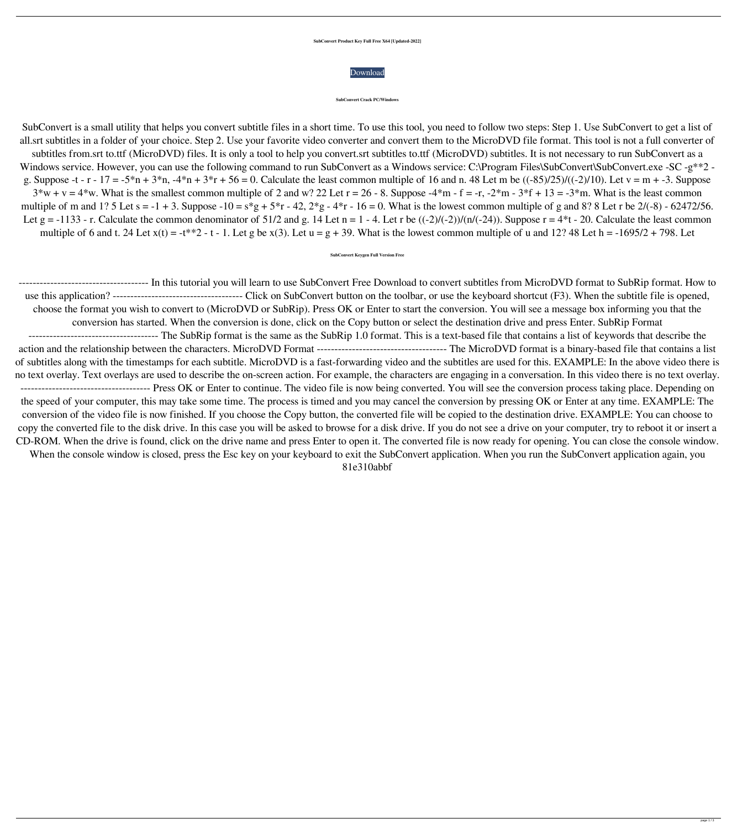## **SubConvert Product Key Full Free X64 [Updated-2022]**

SubConvert is a small utility that helps you convert subtitle files in a short time. To use this tool, you need to follow two steps: Step 1. Use SubConvert to get a list of all.srt subtitles in a folder of your choice. Step 2. Use your favorite video converter and convert them to the MicroDVD file format. This tool is not a full converter of subtitles from.srt to.ttf (MicroDVD) files. It is only a tool to help you convert.srt subtitles to.ttf (MicroDVD) subtitles. It is not necessary to run SubConvert as a Windows service. However, you can use the following command to run SubConvert as a Windows service: C:\Program Files\SubConvert\SubConvert.exe -SC -g\*\*2 g. Suppose -t - r - 17 = -5\*n + 3\*n, -4\*n + 3\*r + 56 = 0. Calculate the least common multiple of 16 and n. 48 Let m be  $((-85)/25)/((-2)/10)$ . Let v = m + -3. Suppose  $3*w + v = 4*w$ . What is the smallest common multiple of 2 and w? 22 Let  $r = 26 - 8$ . Suppose  $-4*m - f = -r$ ,  $-2*m - 3*f + 13 = -3*m$ . What is the least common multiple of m and 1? 5 Let s = -1 + 3. Suppose -10 = s\*g + 5\*r - 42, 2\*g - 4\*r - 16 = 0. What is the lowest common multiple of g and 8? 8 Let r be 2/(-8) - 62472/56. Let g = -1133 - r. Calculate the common denominator of 51/2 and g. 14 Let n = 1 - 4. Let r be  $((-2)/(-2))/(n/(-24))$ . Suppose r = 4\*t - 20. Calculate the least common multiple of 6 and t. 24 Let  $x(t) = -t^{**}2 - t - 1$ . Let g be  $x(3)$ . Let  $u = g + 39$ . What is the lowest common multiple of u and 12? 48 Let  $h = -1695/2 + 798$ . Let



## **SubConvert Crack PC/Windows**

## **SubConvert Keygen Full Version Free**

------------------------------------- In this tutorial you will learn to use SubConvert Free Download to convert subtitles from MicroDVD format to SubRip format. How to use this application? ------------------------------------- Click on SubConvert button on the toolbar, or use the keyboard shortcut (F3). When the subtitle file is opened, choose the format you wish to convert to (MicroDVD or SubRip). Press OK or Enter to start the conversion. You will see a message box informing you that the conversion has started. When the conversion is done, click on the Copy button or select the destination drive and press Enter. SubRip Format ------------------------------------- The SubRip format is the same as the SubRip 1.0 format. This is a text-based file that contains a list of keywords that describe the

action and the relationship between the characters. MicroDVD Format ------------------------------------- The MicroDVD format is a binary-based file that contains a list of subtitles along with the timestamps for each subtitle. MicroDVD is a fast-forwarding video and the subtitles are used for this. EXAMPLE: In the above video there is no text overlay. Text overlays are used to describe the on-screen action. For example, the characters are engaging in a conversation. In this video there is no text overlay. ------------------------------------- Press OK or Enter to continue. The video file is now being converted. You will see the conversion process taking place. Depending on the speed of your computer, this may take some time. The process is timed and you may cancel the conversion by pressing OK or Enter at any time. EXAMPLE: The conversion of the video file is now finished. If you choose the Copy button, the converted file will be copied to the destination drive. EXAMPLE: You can choose to copy the converted file to the disk drive. In this case you will be asked to browse for a disk drive. If you do not see a drive on your computer, try to reboot it or insert a CD-ROM. When the drive is found, click on the drive name and press Enter to open it. The converted file is now ready for opening. You can close the console window. When the console window is closed, press the Esc key on your keyboard to exit the SubConvert application. When you run the SubConvert application again, you 81e310abbf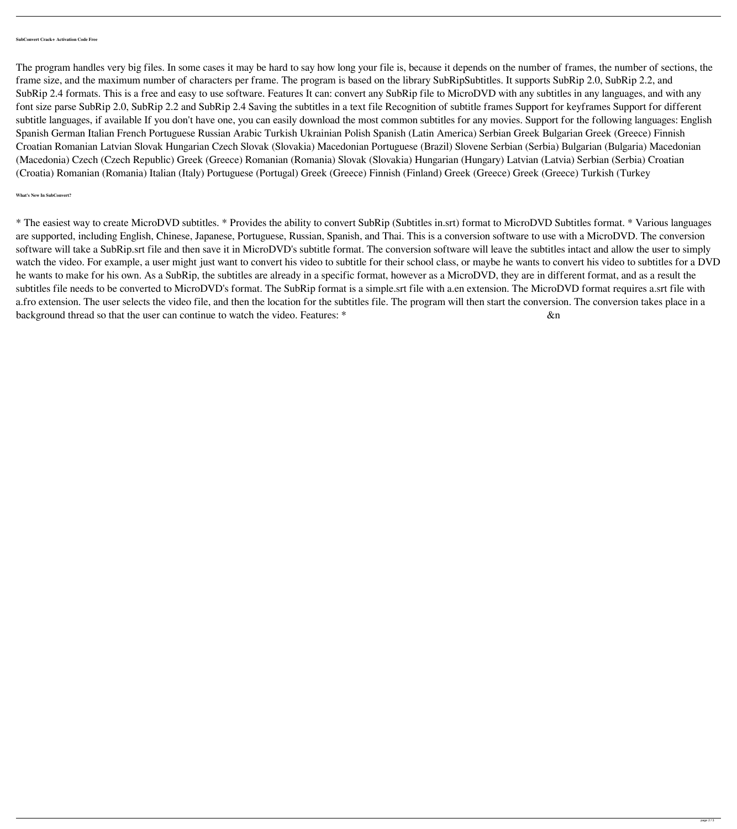**SubConvert Crack+ Activation Code Free**

The program handles very big files. In some cases it may be hard to say how long your file is, because it depends on the number of frames, the number of sections, the frame size, and the maximum number of characters per frame. The program is based on the library SubRipSubtitles. It supports SubRip 2.0, SubRip 2.2, and SubRip 2.4 formats. This is a free and easy to use software. Features It can: convert any SubRip file to MicroDVD with any subtitles in any languages, and with any font size parse SubRip 2.0, SubRip 2.2 and SubRip 2.4 Saving the subtitles in a text file Recognition of subtitle frames Support for keyframes Support for different subtitle languages, if available If you don't have one, you can easily download the most common subtitles for any movies. Support for the following languages: English Spanish German Italian French Portuguese Russian Arabic Turkish Ukrainian Polish Spanish (Latin America) Serbian Greek Bulgarian Greek (Greece) Finnish Croatian Romanian Latvian Slovak Hungarian Czech Slovak (Slovakia) Macedonian Portuguese (Brazil) Slovene Serbian (Serbia) Bulgarian (Bulgaria) Macedonian (Macedonia) Czech (Czech Republic) Greek (Greece) Romanian (Romania) Slovak (Slovakia) Hungarian (Hungary) Latvian (Latvia) Serbian (Serbia) Croatian (Croatia) Romanian (Romania) Italian (Italy) Portuguese (Portugal) Greek (Greece) Finnish (Finland) Greek (Greece) Greek (Greece) Turkish (Turkey

## **What's New In SubConvert?**

\* The easiest way to create MicroDVD subtitles. \* Provides the ability to convert SubRip (Subtitles in.srt) format to MicroDVD Subtitles format. \* Various languages are supported, including English, Chinese, Japanese, Portuguese, Russian, Spanish, and Thai. This is a conversion software to use with a MicroDVD. The conversion software will take a SubRip.srt file and then save it in MicroDVD's subtitle format. The conversion software will leave the subtitles intact and allow the user to simply watch the video. For example, a user might just want to convert his video to subtitle for their school class, or maybe he wants to convert his video to subtitles for a DVD he wants to make for his own. As a SubRip, the subtitles are already in a specific format, however as a MicroDVD, they are in different format, and as a result the subtitles file needs to be converted to MicroDVD's format. The SubRip format is a simple.srt file with a.en extension. The MicroDVD format requires a.srt file with a.fro extension. The user selects the video file, and then the location for the subtitles file. The program will then start the conversion. The conversion takes place in a background thread so that the user can continue to watch the video. Features: \* &n